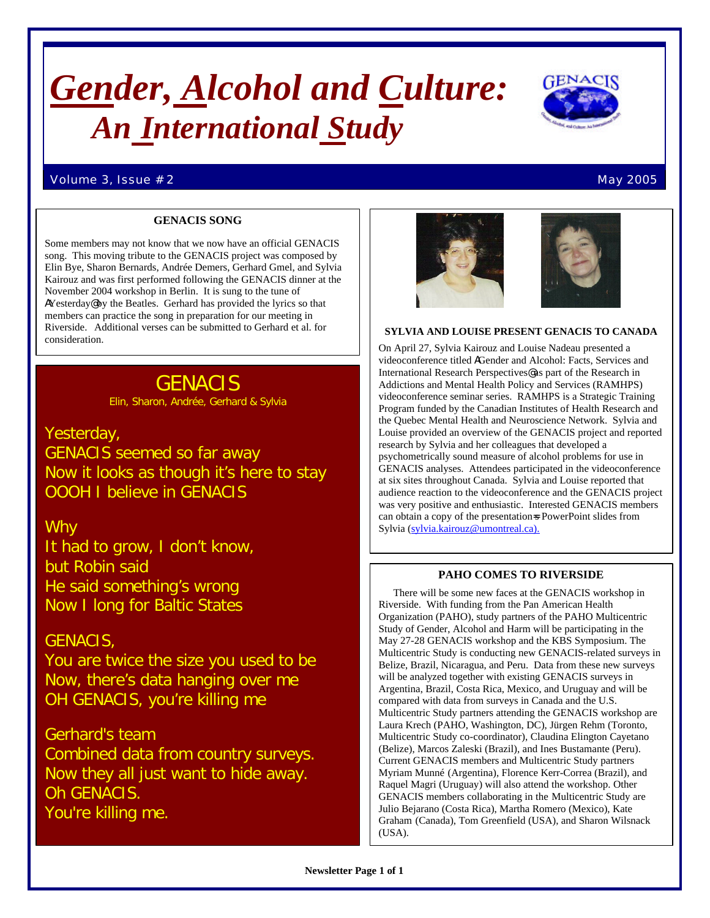## *Gender, Alcohol and Culture: An International Study*



#### Volume 3, Issue # 2 May 2005

#### **GENACIS SONG**

Some members may not know that we now have an official GENACIS song. This moving tribute to the GENACIS project was composed by Elin Bye, Sharon Bernards, Andrée Demers, Gerhard Gmel, and Sylvia Kairouz and was first performed following the GENACIS dinner at the November 2004 workshop in Berlin. It is sung to the tune of AYesterday@ by the Beatles. Gerhard has provided the lyrics so that members can practice the song in preparation for our meeting in Riverside. Additional verses can be submitted to Gerhard et al. for consideration.

### GENACIS

Elin, Sharon, Andrée, Gerhard & Sylvia

#### Yesterday,

GENACIS seemed so far away Now it looks as though it's here to stay OOOH I believe in GENACIS

#### Why

It had to grow, I don't know, but Robin said He said something's wrong Now I long for Baltic States

#### GENACIS,

You are twice the size you used to be Now, there's data hanging over me OH GENACIS, you're killing me

Gerhard's team Combined data from country surveys. Now they all just want to hide away. Oh GENACIS. You're killing me.





#### **SYLVIA AND LOUISE PRESENT GENACIS TO CANADA**

On April 27, Sylvia Kairouz and Louise Nadeau presented a videoconference titled AGender and Alcohol: Facts, Services and International Research Perspectives@ as part of the Research in Addictions and Mental Health Policy and Services (RAMHPS) videoconference seminar series. RAMHPS is a Strategic Training Program funded by the Canadian Institutes of Health Research and the Quebec Mental Health and Neuroscience Network. Sylvia and Louise provided an overview of the GENACIS project and reported research by Sylvia and her colleagues that developed a psychometrically sound measure of alcohol problems for use in GENACIS analyses. Attendees participated in the videoconference at six sites throughout Canada. Sylvia and Louise reported that audience reaction to the videoconference and the GENACIS project was very positive and enthusiastic. Interested GENACIS members can obtain a copy of the presentation=s PowerPoint slides from Sylvia (sylvia.kairouz@umontreal.ca).

#### **PAHO COMES TO RIVERSIDE**

 There will be some new faces at the GENACIS workshop in Riverside. With funding from the Pan American Health Organization (PAHO), study partners of the PAHO Multicentric Study of Gender, Alcohol and Harm will be participating in the May 27-28 GENACIS workshop and the KBS Symposium. The Multicentric Study is conducting new GENACIS-related surveys in Belize, Brazil, Nicaragua, and Peru. Data from these new surveys will be analyzed together with existing GENACIS surveys in Argentina, Brazil, Costa Rica, Mexico, and Uruguay and will be compared with data from surveys in Canada and the U.S. Multicentric Study partners attending the GENACIS workshop are Laura Krech (PAHO, Washington, DC), Jürgen Rehm (Toronto, Multicentric Study co-coordinator), Claudina Elington Cayetano (Belize), Marcos Zaleski (Brazil), and Ines Bustamante (Peru). Current GENACIS members and Multicentric Study partners Myriam Munné (Argentina), Florence Kerr-Correa (Brazil), and Raquel Magri (Uruguay) will also attend the workshop. Other GENACIS members collaborating in the Multicentric Study are Julio Bejarano (Costa Rica), Martha Romero (Mexico), Kate Graham (Canada), Tom Greenfield (USA), and Sharon Wilsnack (USA).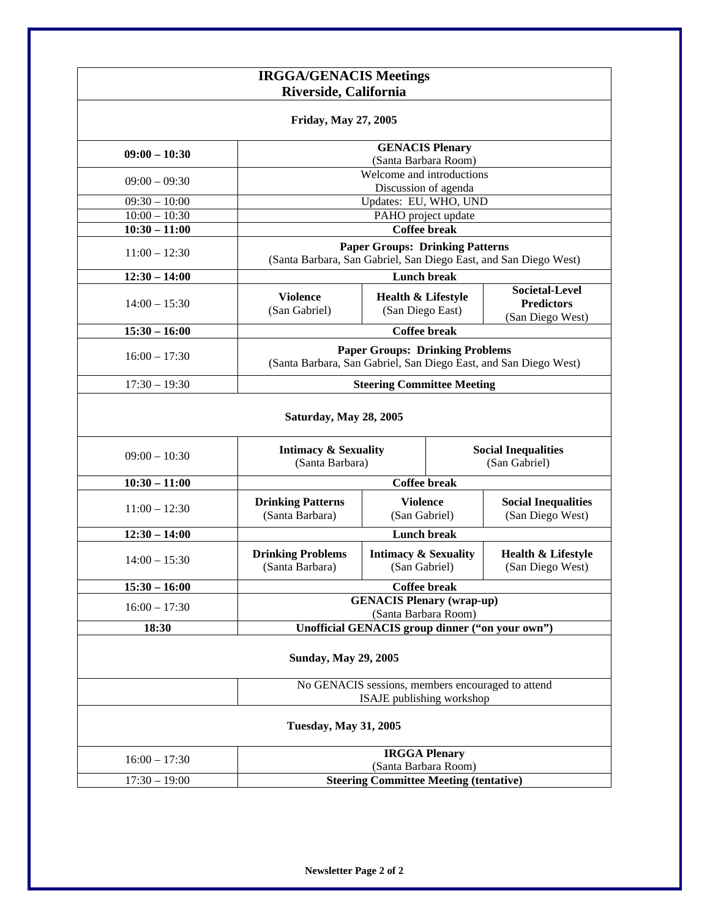|                 | <b>IRGGA/GENACIS Meetings</b><br>Riverside, California           |                                                           |  |                                                   |  |
|-----------------|------------------------------------------------------------------|-----------------------------------------------------------|--|---------------------------------------------------|--|
|                 | <b>Friday, May 27, 2005</b>                                      |                                                           |  |                                                   |  |
| $09:00 - 10:30$ | <b>GENACIS Plenary</b>                                           |                                                           |  |                                                   |  |
|                 | (Santa Barbara Room)                                             |                                                           |  |                                                   |  |
| $09:00 - 09:30$ | Welcome and introductions<br>Discussion of agenda                |                                                           |  |                                                   |  |
| $09:30 - 10:00$ | Updates: EU, WHO, UND                                            |                                                           |  |                                                   |  |
| $10:00 - 10:30$ | PAHO project update                                              |                                                           |  |                                                   |  |
| $10:30 - 11:00$ | <b>Coffee break</b>                                              |                                                           |  |                                                   |  |
| $11:00 - 12:30$ | <b>Paper Groups: Drinking Patterns</b>                           |                                                           |  |                                                   |  |
|                 | (Santa Barbara, San Gabriel, San Diego East, and San Diego West) |                                                           |  |                                                   |  |
| $12:30 - 14:00$ |                                                                  | <b>Lunch break</b>                                        |  |                                                   |  |
| $14:00 - 15:30$ |                                                                  |                                                           |  | <b>Societal-Level</b>                             |  |
|                 | <b>Violence</b>                                                  | <b>Health &amp; Lifestyle</b><br>(San Diego East)         |  | <b>Predictors</b>                                 |  |
|                 | (San Gabriel)                                                    |                                                           |  | (San Diego West)                                  |  |
| $15:30 - 16:00$ | <b>Coffee break</b>                                              |                                                           |  |                                                   |  |
| $16:00 - 17:30$ | <b>Paper Groups: Drinking Problems</b>                           |                                                           |  |                                                   |  |
|                 | (Santa Barbara, San Gabriel, San Diego East, and San Diego West) |                                                           |  |                                                   |  |
| $17:30 - 19:30$ | <b>Steering Committee Meeting</b>                                |                                                           |  |                                                   |  |
| $09:00 - 10:30$ |                                                                  | Saturday, May 28, 2005<br><b>Intimacy &amp; Sexuality</b> |  | <b>Social Inequalities</b>                        |  |
|                 | (Santa Barbara)                                                  |                                                           |  | (San Gabriel)                                     |  |
| $10:30 - 11:00$ |                                                                  | <b>Coffee break</b>                                       |  |                                                   |  |
| $11:00 - 12:30$ | <b>Drinking Patterns</b><br>(Santa Barbara)                      | <b>Violence</b><br>(San Gabriel)                          |  | <b>Social Inequalities</b><br>(San Diego West)    |  |
| $12:30 - 14:00$ |                                                                  | <b>Lunch break</b>                                        |  |                                                   |  |
| $14:00 - 15:30$ | <b>Drinking Problems</b><br>(Santa Barbara)                      | <b>Intimacy &amp; Sexuality</b><br>(San Gabriel)          |  | Health & Lifestyle<br>(San Diego West)            |  |
| $15:30 - 16:00$ | Coffee break                                                     |                                                           |  |                                                   |  |
| $16:00 - 17:30$ | <b>GENACIS Plenary (wrap-up)</b>                                 |                                                           |  |                                                   |  |
|                 | (Santa Barbara Room)                                             |                                                           |  |                                                   |  |
| 18:30           | Unofficial GENACIS group dinner ("on your own")                  |                                                           |  |                                                   |  |
|                 | <b>Sunday, May 29, 2005</b>                                      |                                                           |  |                                                   |  |
|                 |                                                                  |                                                           |  | No GENACIS sessions, members encouraged to attend |  |
|                 |                                                                  | ISAJE publishing workshop                                 |  |                                                   |  |
|                 | <b>Tuesday, May 31, 2005</b>                                     |                                                           |  |                                                   |  |
|                 | <b>IRGGA Plenary</b>                                             |                                                           |  |                                                   |  |
| $16:00 - 17:30$ | (Santa Barbara Room)                                             |                                                           |  |                                                   |  |
| $17:30 - 19:00$ | <b>Steering Committee Meeting (tentative)</b>                    |                                                           |  |                                                   |  |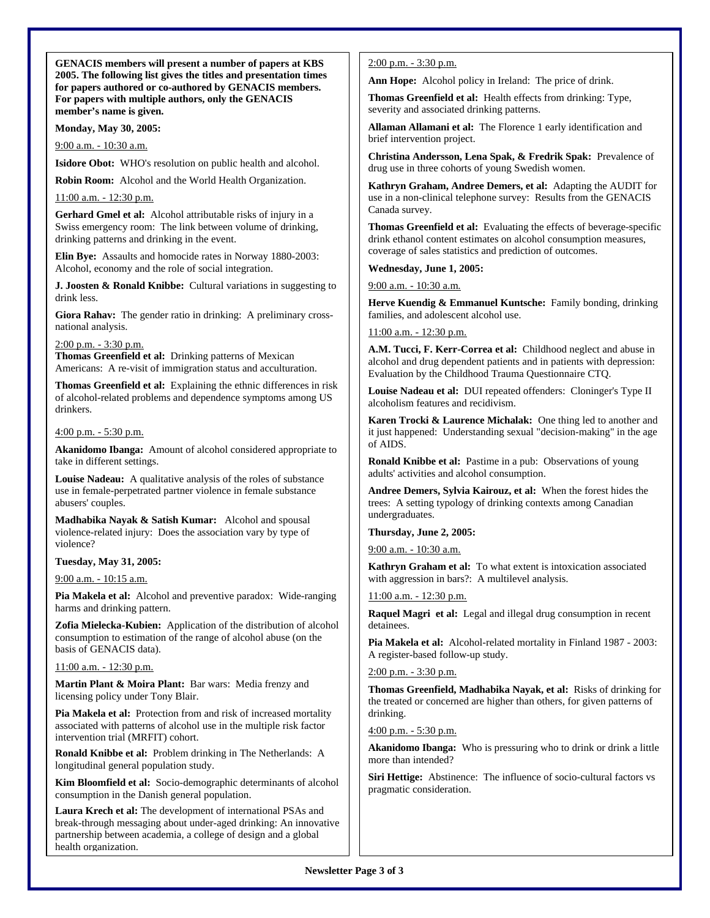**GENACIS members will present a number of papers at KBS 2005. The following list gives the titles and presentation times for papers authored or co-authored by GENACIS members. For papers with multiple authors, only the GENACIS member's name is given.**

**Monday, May 30, 2005:**

9:00 a.m. - 10:30 a.m.

**Isidore Obot:** WHO's resolution on public health and alcohol.

**Robin Room:** Alcohol and the World Health Organization.

11:00 a.m. - 12:30 p.m.

**Gerhard Gmel et al:** Alcohol attributable risks of injury in a Swiss emergency room: The link between volume of drinking, drinking patterns and drinking in the event.

**Elin Bye:** Assaults and homocide rates in Norway 1880-2003: Alcohol, economy and the role of social integration.

**J. Joosten & Ronald Knibbe:** Cultural variations in suggesting to drink less.

**Giora Rahav:** The gender ratio in drinking: A preliminary crossnational analysis.

2:00 p.m. - 3:30 p.m.

**Thomas Greenfield et al:** Drinking patterns of Mexican Americans: A re-visit of immigration status and acculturation.

**Thomas Greenfield et al:** Explaining the ethnic differences in risk of alcohol-related problems and dependence symptoms among US drinkers.

#### 4:00 p.m. - 5:30 p.m.

**Akanidomo Ibanga:** Amount of alcohol considered appropriate to take in different settings.

**Louise Nadeau:** A qualitative analysis of the roles of substance use in female-perpetrated partner violence in female substance abusers' couples.

**Madhabika Nayak & Satish Kumar:** Alcohol and spousal violence-related injury: Does the association vary by type of violence?

**Tuesday, May 31, 2005:**

9:00 a.m. - 10:15 a.m.

**Pia Makela et al:** Alcohol and preventive paradox: Wide-ranging harms and drinking pattern.

**Zofia Mielecka-Kubien:** Application of the distribution of alcohol consumption to estimation of the range of alcohol abuse (on the basis of GENACIS data).

11:00 a.m. - 12:30 p.m.

**Martin Plant & Moira Plant:** Bar wars: Media frenzy and licensing policy under Tony Blair.

**Pia Makela et al:** Protection from and risk of increased mortality associated with patterns of alcohol use in the multiple risk factor intervention trial (MRFIT) cohort.

**Ronald Knibbe et al:** Problem drinking in The Netherlands: A longitudinal general population study.

**Kim Bloomfield et al:** Socio-demographic determinants of alcohol consumption in the Danish general population.

**Laura Krech et al:** The development of international PSAs and break-through messaging about under-aged drinking: An innovative partnership between academia, a college of design and a global health organization.

#### 2:00 p.m. - 3:30 p.m.

**Ann Hope:** Alcohol policy in Ireland: The price of drink.

**Thomas Greenfield et al:** Health effects from drinking: Type, severity and associated drinking patterns.

**Allaman Allamani et al:** The Florence 1 early identification and brief intervention project.

**Christina Andersson, Lena Spak, & Fredrik Spak:** Prevalence of drug use in three cohorts of young Swedish women.

**Kathryn Graham, Andree Demers, et al:** Adapting the AUDIT for use in a non-clinical telephone survey: Results from the GENACIS Canada survey.

**Thomas Greenfield et al:** Evaluating the effects of beverage-specific drink ethanol content estimates on alcohol consumption measures, coverage of sales statistics and prediction of outcomes.

**Wednesday, June 1, 2005:**

9:00 a.m. - 10:30 a.m.

**Herve Kuendig & Emmanuel Kuntsche:** Family bonding, drinking families, and adolescent alcohol use.

11:00 a.m. - 12:30 p.m.

**A.M. Tucci, F. Kerr-Correa et al:** Childhood neglect and abuse in alcohol and drug dependent patients and in patients with depression: Evaluation by the Childhood Trauma Questionnaire CTQ.

**Louise Nadeau et al:** DUI repeated offenders: Cloninger's Type II alcoholism features and recidivism.

**Karen Trocki & Laurence Michalak:** One thing led to another and it just happened: Understanding sexual "decision-making" in the age of AIDS.

**Ronald Knibbe et al:** Pastime in a pub: Observations of young adults' activities and alcohol consumption.

**Andree Demers, Sylvia Kairouz, et al:** When the forest hides the trees: A setting typology of drinking contexts among Canadian undergraduates.

**Thursday, June 2, 2005:**

9:00 a.m. - 10:30 a.m.

**Kathryn Graham et al:** To what extent is intoxication associated with aggression in bars?: A multilevel analysis.

11:00 a.m. - 12:30 p.m.

**Raquel Magri et al:** Legal and illegal drug consumption in recent detainees.

**Pia Makela et al:** Alcohol-related mortality in Finland 1987 - 2003: A register-based follow-up study.

#### 2:00 p.m. - 3:30 p.m.

**Thomas Greenfield, Madhabika Nayak, et al:** Risks of drinking for the treated or concerned are higher than others, for given patterns of drinking.

4:00 p.m. - 5:30 p.m.

**Akanidomo Ibanga:** Who is pressuring who to drink or drink a little more than intended?

**Siri Hettige:** Abstinence: The influence of socio-cultural factors vs pragmatic consideration.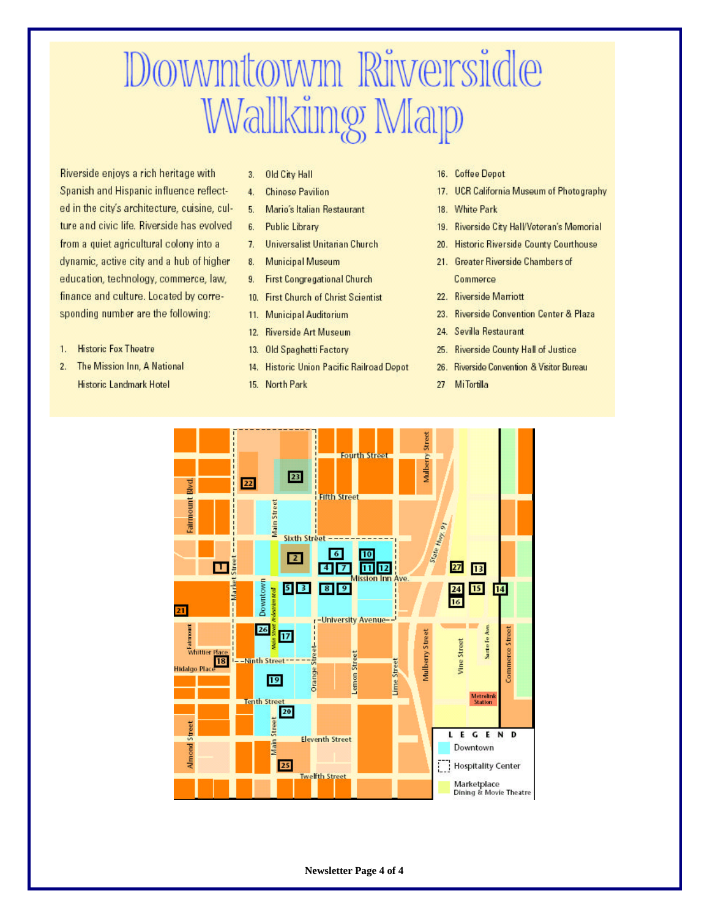# Downtown Riverside Wallküng Map

Riverside enjoys a rich heritage with Spanish and Hispanic influence reflected in the city's architecture, cuisine, culture and civic life. Riverside has evolved from a quiet agricultural colony into a dynamic, active city and a hub of higher education, technology, commerce, law, finance and culture. Located by corresponding number are the following:

- 1. **Historic Fox Theatre**
- The Mission Inn, A National  $2.$ **Historic Landmark Hotel**
- **Old City Hall**  $3.$
- **Chinese Pavilion** 4.
- Mario's Italian Restaurant 5.
- Universalist Unitarian Church 7.
- **Municipal Museum**  $8.$

**Public Library** 

6.

- **First Congregational Church**  $9.$
- 10. First Church of Christ Scientist
- 11. Municipal Auditorium
- 12. Riverside Art Museum
- 13. Old Spaghetti Factory

15. North Park

14. Historic Union Pacific Railroad Depot

- 16. Coffee Depot
- 17. UCR California Museum of Photography
- 18. White Park
- Riverside City Hall/Veteran's Memorial  $19.$
- **Historic Riverside County Courthouse**  $20.$
- 21. Greater Riverside Chambers of Commerce
- 22. Riverside Marriott
- 23. Riverside Convention Center & Plaza
- 24. Sevilla Restaurant
- 25. Riverside County Hall of Justice
- Riverside Convention & Visitor Bureau  $26.$
- 27 MiTortilla



**Newsletter Page 4 of 4**